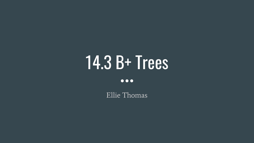# 14.3 B+ Trees

 $\bullet\bullet\bullet$ 

Ellie Thomas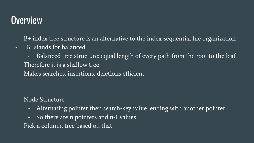## **Overview**

- B+ index tree structure is an alternative to the index-sequential file organization
- "B" stands for balanced
	- Balanced tree structure: equal length of every path from the root to the leaf
- Therefore it is a shallow tree
- Makes searches, insertions, deletions efficient

- Node Structure
	- Alternating pointer then search-key value, ending with another pointer
	- So there are n pointers and n-1 values
- Pick a column, tree based on that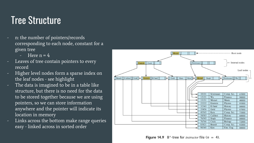### Tree Structure

- n: the number of pointers/records corresponding to each node, constant for a given tree
	- Here  $n = 4$
- Leaves of tree contain pointers to every record
- Higher level nodes form a sparse index on the leaf nodes - see highlight
- The data is imagined to be in a table like structure, but there is no need for the data to be stored together because we are using pointers, so we can store information anywhere and the pointer will indicate its location in memory
- Links across the bottom make range queries easy - linked across in sorted order



**Figure 14.9** B<sup>+</sup>-tree for *instructor* file  $(n = 4)$ .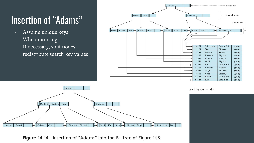## Insertion of "Adams"

- Assume unique keys
- When inserting:
- If necessary, split nodes, redistribute search key values





Figure 14.14 Insertion of "Adams" into the B<sup>+</sup>-tree of Figure 14.9.

tor file  $(n = 4)$ .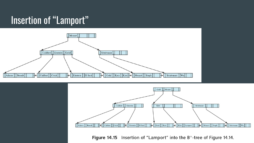### **Insertion of "Lamport"**





Insertion of "Lamport" into the B<sup>+</sup>-tree of Figure 14.14. **Figure 14.15**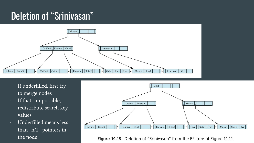## Deletion of "Srinivasan"



- If underfilled, first try to merge nodes
- If that's impossible, redistribute search key values
- Underfilled means less than [n/2] pointers in the node



Figure 14.18 Deletion of "Srinivasan" from the B<sup>+</sup>-tree of Figure 14.14.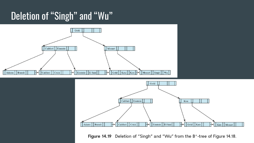## Deletion of "Singh" and "Wu"





Figure 14.19 Deletion of "Singh" and "Wu" from the B<sup>+</sup>-tree of Figure 14.18.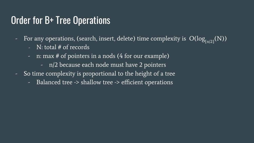#### Order for B+ Tree Operations

- For any operations, (search, insert, delete) time complexity is  $O(log_{[n/2]}(N))$ 
	- $N:$  total  $#$  of records
	- n: max # of pointers in a nods (4 for our example)
		- n/2 because each node must have 2 pointers
- So time complexity is proportional to the height of a tree
	- Balanced tree -> shallow tree -> efficient operations